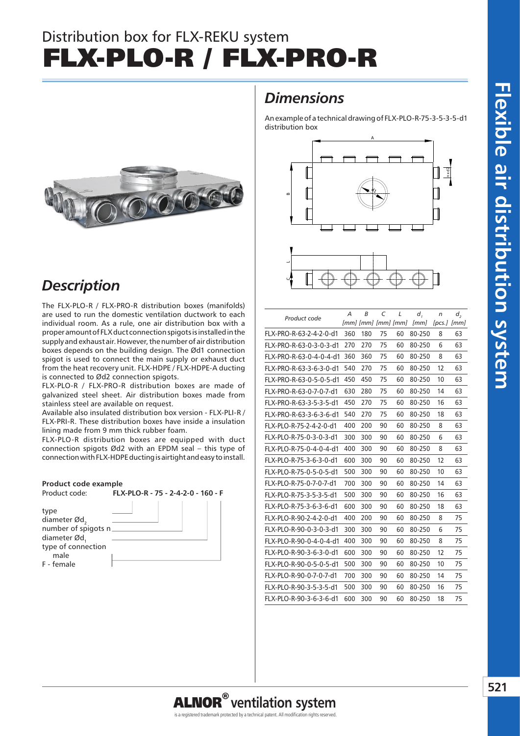# **Flexible air distribution system** Flexible air distribution system

# Distribution box for FLX-REKU system FLX-PLO-R / FLX-PRO-R



## *Description*

The FLX-PLO-R / FLX-PRO-R distribution boxes (manifolds) are used to run the domestic ventilation ductwork to each individual room. As a rule, one air distribution box with a proper amount of FLX duct connection spigots is installed in the supply and exhaust air. However, the number of air distribution boxes depends on the building design. The Ød1 connection spigot is used to connect the main supply or exhaust duct from the heat recovery unit. FLX-HDPE / FLX-HDPE-A ducting is connected to Ød2 connection spigots.

FLX-PLO-R / FLX-PRO-R distribution boxes are made of galvanized steel sheet. Air distribution boxes made from stainless steel are available on request.

Available also insulated distribution box version - FLX-PLI-R / FLX-PRI-R. These distribution boxes have inside a insulation lining made from 9 mm thick rubber foam.

FLX-PLO-R distribution boxes are equipped with duct connection spigots Ød2 with an EPDM seal – this type of connection with FLX-HDPE ducting is airtight and easy to install.



### *Dimensions*

An example of a technical drawing of FLX-PLO-R-75-3-5-3-5-d1 distribution box





| Product code            | А   | B                        | C  | L  | d,     | n      | d,   |
|-------------------------|-----|--------------------------|----|----|--------|--------|------|
|                         |     | [mm] [mm] [mm] [mm] [mm] |    |    | [mm]   | [pcs.] | [mm] |
| FLX-PRO-R-63-2-4-2-0-d1 | 360 | 180                      | 75 | 60 | 80-250 | 8      | 63   |
| FLX-PRO-R-63-0-3-0-3-d1 | 270 | 270                      | 75 | 60 | 80-250 | 6      | 63   |
| FLX-PRO-R-63-0-4-0-4-d1 | 360 | 360                      | 75 | 60 | 80-250 | 8      | 63   |
| FLX-PRO-R-63-3-6-3-0-d1 | 540 | 270                      | 75 | 60 | 80-250 | 12     | 63   |
| FLX-PRO-R-63-0-5-0-5-d1 | 450 | 450                      | 75 | 60 | 80-250 | 10     | 63   |
| FLX-PRO-R-63-0-7-0-7-d1 | 630 | 280                      | 75 | 60 | 80-250 | 14     | 63   |
| FLX-PRO-R-63-3-5-3-5-d1 | 450 | 270                      | 75 | 60 | 80-250 | 16     | 63   |
| FLX-PRO-R-63-3-6-3-6-d1 | 540 | 270                      | 75 | 60 | 80-250 | 18     | 63   |
| FLX-PLO-R-75-2-4-2-0-d1 | 400 | 200                      | 90 | 60 | 80-250 | 8      | 63   |
| FLX-PLO-R-75-0-3-0-3-d1 | 300 | 300                      | 90 | 60 | 80-250 | 6      | 63   |
| FLX-PLO-R-75-0-4-0-4-d1 | 400 | 300                      | 90 | 60 | 80-250 | 8      | 63   |
| FLX-PLO-R-75-3-6-3-0-d1 | 600 | 300                      | 90 | 60 | 80-250 | 12     | 63   |
| FLX-PLO-R-75-0-5-0-5-d1 | 500 | 300                      | 90 | 60 | 80-250 | 10     | 63   |
| FLX-PLO-R-75-0-7-0-7-d1 | 700 | 300                      | 90 | 60 | 80-250 | 14     | 63   |
| FLX-PLO-R-75-3-5-3-5-d1 | 500 | 300                      | 90 | 60 | 80-250 | 16     | 63   |
| FLX-PLO-R-75-3-6-3-6-d1 | 600 | 300                      | 90 | 60 | 80-250 | 18     | 63   |
| FLX-PLO-R-90-2-4-2-0-d1 | 400 | 200                      | 90 | 60 | 80-250 | 8      | 75   |
| FLX-PLO-R-90-0-3-0-3-d1 | 300 | 300                      | 90 | 60 | 80-250 | 6      | 75   |
| FLX-PLO-R-90-0-4-0-4-d1 | 400 | 300                      | 90 | 60 | 80-250 | 8      | 75   |
| FLX-PLO-R-90-3-6-3-0-d1 | 600 | 300                      | 90 | 60 | 80-250 | 12     | 75   |
| FLX-PLO-R-90-0-5-0-5-d1 | 500 | 300                      | 90 | 60 | 80-250 | 10     | 75   |
| FLX-PLO-R-90-0-7-0-7-d1 | 700 | 300                      | 90 | 60 | 80-250 | 14     | 75   |
| FLX-PLO-R-90-3-5-3-5-d1 | 500 | 300                      | 90 | 60 | 80-250 | 16     | 75   |
| FLX-PLO-R-90-3-6-3-6-d1 | 600 | 300                      | 90 | 60 | 80-250 | 18     | 75   |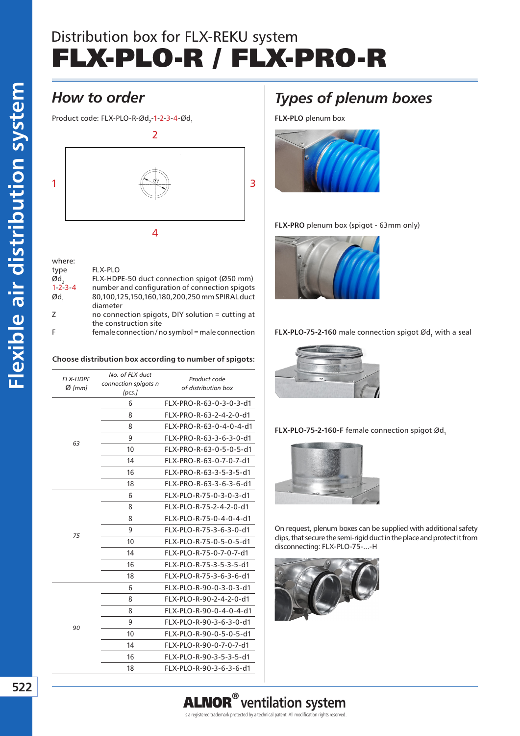## Distribution box for FLX-REKU system FLX-PLO-R / FLX-PRO-R

Product code: FLX-PLO-R-Ød<sub>2</sub>-1-2-3-4-Ød<sub>1</sub>



| where:          |                                                  |
|-----------------|--------------------------------------------------|
| type            | <b>FLX-PLO</b>                                   |
| Ød,             | FLX-HDPE-50 duct connection spigot (Ø50 mm)      |
| $1 - 2 - 3 - 4$ | number and configuration of connection spigots   |
| Ød,             | 80,100,125,150,160,180,200,250 mm SPIRAL duct    |
|                 | diameter                                         |
| 7               | no connection spigots, DIY solution = cutting at |
|                 | the construction site                            |
| F               | female connection/no symbol = male connection    |

#### **Choose distribution box according to number of spigots:**

| <b>FLX-HDPE</b><br>$Ø$ [mm] | No. of FLX duct<br>connection spigots n<br>[pcs.] | Product code<br>of distribution box |
|-----------------------------|---------------------------------------------------|-------------------------------------|
| 63                          | 6                                                 | FLX-PRO-R-63-0-3-0-3-d1             |
|                             | 8                                                 | FLX-PRO-R-63-2-4-2-0-d1             |
|                             | 8                                                 | FLX-PRO-R-63-0-4-0-4-d1             |
|                             | 9                                                 | FLX-PRO-R-63-3-6-3-0-d1             |
|                             | 10                                                | FLX-PRO-R-63-0-5-0-5-d1             |
|                             | 14                                                | FLX-PRO-R-63-0-7-0-7-d1             |
|                             | 16                                                | FLX-PRO-R-63-3-5-3-5-d1             |
|                             | 18                                                | FLX-PRO-R-63-3-6-3-6-d1             |
| 75                          | 6                                                 | FLX-PLO-R-75-0-3-0-3-d1             |
|                             | 8                                                 | FLX-PLO-R-75-2-4-2-0-d1             |
|                             | 8                                                 | FLX-PLO-R-75-0-4-0-4-d1             |
|                             | 9                                                 | FLX-PLO-R-75-3-6-3-0-d1             |
|                             | 10                                                | FLX-PLO-R-75-0-5-0-5-d1             |
|                             | 14                                                | FLX-PLO-R-75-0-7-0-7-d1             |
|                             | 16                                                | FLX-PLO-R-75-3-5-3-5-d1             |
|                             | 18                                                | FLX-PLO-R-75-3-6-3-6-d1             |
| 90                          | 6                                                 | FLX-PLO-R-90-0-3-0-3-d1             |
|                             | 8                                                 | FLX-PLO-R-90-2-4-2-0-d1             |
|                             | 8                                                 | FLX-PLO-R-90-0-4-0-4-d1             |
|                             | 9                                                 | FLX-PLO-R-90-3-6-3-0-d1             |
|                             | 10                                                | FLX-PLO-R-90-0-5-0-5-d1             |
|                             | 14                                                | FLX-PLO-R-90-0-7-0-7-d1             |
|                             | 16                                                | FLX-PLO-R-90-3-5-3-5-d1             |
|                             | 18                                                | FLX-PLO-R-90-3-6-3-6-d1             |
|                             |                                                   |                                     |

## *Types of plenum boxes*

**FLX-PLO** plenum box



#### **FLX-PRO** plenum box (spigot - 63mm only)







**FLX-PLO-75-2-160-F** female connection spigot  $\emptyset$ d<sub>1</sub>



On request, plenum boxes can be supplied with additional safety clips, that secure the semi-rigid duct in the place and protect it from disconnecting: FLX-PLO-75-...-H



is a registered trademark protected by a technical patent. All modification rights reserved.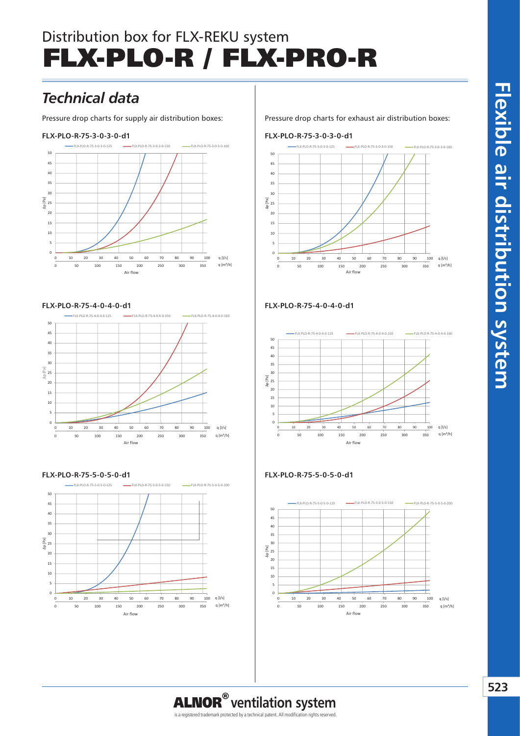# Distribution box for FLX-REKU system FLX-PLO-R / FLX-PRO-R

## **NAWIEW (SUPPLY)** *Technical data*

Pressure drop charts for supply air distribution boxes:

#### 45 **FLX-PLO-R-75-3-0-3-0-d1**



#### **FLX-PLO-R-75-4-0-4-0-d1**



#### **FLX-PLO-R-75-5-0-5-0-d1**



Pressure drop charts for exhaust air distribution boxes:

#### **FLX-PLO-R-75-3-0-3-0-d1**



#### **FLX-PLO-R-75-4-0-4-0-d1**



#### **WYCIĄG (EXTRACT) FLX-PLO-R-75-5-0-5-0-d1**



is a registered trademark protected by a technical patent. All modification rights reserved.